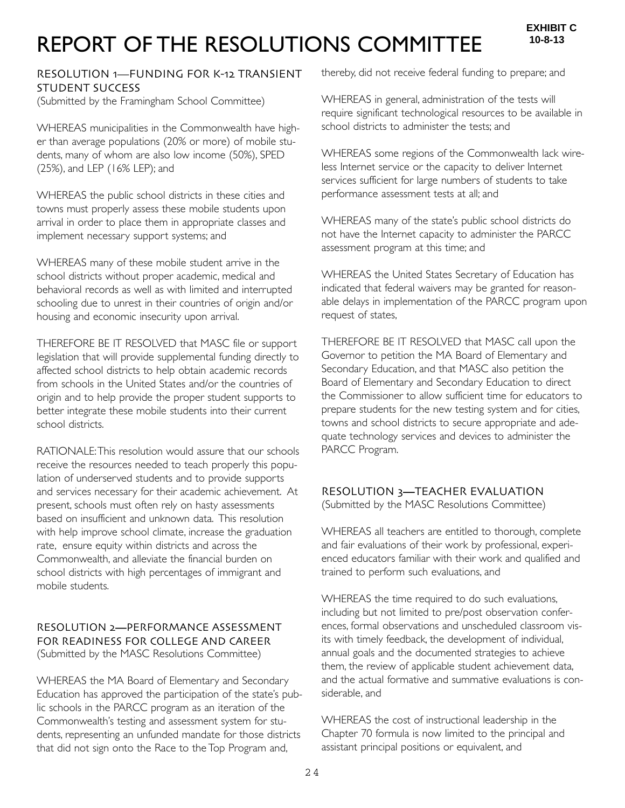# REPORT OF THE RESOLUTIONS COMMITTEE

# RESOLUTION 1—FUNDING FOR K-12 TRANSIENT STUDENT SUCCESS

(Submitted by the Framingham School Committee)

WHEREAS municipalities in the Commonwealth have higher than average populations (20% or more) of mobile students, many of whom are also low income (50%), SPED (25%), and LEP (16% LEP); and

WHEREAS the public school districts in these cities and towns must properly assess these mobile students upon arrival in order to place them in appropriate classes and implement necessary support systems; and

WHEREAS many of these mobile student arrive in the school districts without proper academic, medical and behavioral records as well as with limited and interrupted schooling due to unrest in their countries of origin and/or housing and economic insecurity upon arrival.

THEREFORE BE IT RESOLVED that MASC file or support legislation that will provide supplemental funding directly to affected school districts to help obtain academic records from schools in the United States and/or the countries of origin and to help provide the proper student supports to better integrate these mobile students into their current school districts.

RATIONALE:This resolution would assure that our schools receive the resources needed to teach properly this population of underserved students and to provide supports and services necessary for their academic achievement. At present, schools must often rely on hasty assessments based on insufficient and unknown data. This resolution with help improve school climate, increase the graduation rate, ensure equity within districts and across the Commonwealth, and alleviate the financial burden on school districts with high percentages of immigrant and mobile students.

#### RESOLUTION 2**—**PERFORMANCE ASSESSMENT FOR READINESS FOR COLLEGE AND CAREER (Submitted by the MASC Resolutions Committee)

WHEREAS the MA Board of Elementary and Secondary Education has approved the participation of the state's public schools in the PARCC program as an iteration of the Commonwealth's testing and assessment system for students, representing an unfunded mandate for those districts that did not sign onto the Race to the Top Program and,

thereby, did not receive federal funding to prepare; and

WHEREAS in general, administration of the tests will require significant technological resources to be available in school districts to administer the tests; and

WHEREAS some regions of the Commonwealth lack wireless Internet service or the capacity to deliver Internet services sufficient for large numbers of students to take performance assessment tests at all; and

WHEREAS many of the state's public school districts do not have the Internet capacity to administer the PARCC assessment program at this time; and

WHEREAS the United States Secretary of Education has indicated that federal waivers may be granted for reasonable delays in implementation of the PARCC program upon request of states,

THEREFORE BE IT RESOLVED that MASC call upon the Governor to petition the MA Board of Elementary and Secondary Education, and that MASC also petition the Board of Elementary and Secondary Education to direct the Commissioner to allow sufficient time for educators to prepare students for the new testing system and for cities, towns and school districts to secure appropriate and adequate technology services and devices to administer the PARCC Program.

# RESOLUTION 3**—**TEACHER EVALUATION

(Submitted by the MASC Resolutions Committee)

WHEREAS all teachers are entitled to thorough, complete and fair evaluations of their work by professional, experienced educators familiar with their work and qualified and trained to perform such evaluations, and

WHEREAS the time required to do such evaluations, including but not limited to pre/post observation conferences, formal observations and unscheduled classroom visits with timely feedback, the development of individual, annual goals and the documented strategies to achieve them, the review of applicable student achievement data, and the actual formative and summative evaluations is considerable, and

WHEREAS the cost of instructional leadership in the Chapter 70 formula is now limited to the principal and assistant principal positions or equivalent, and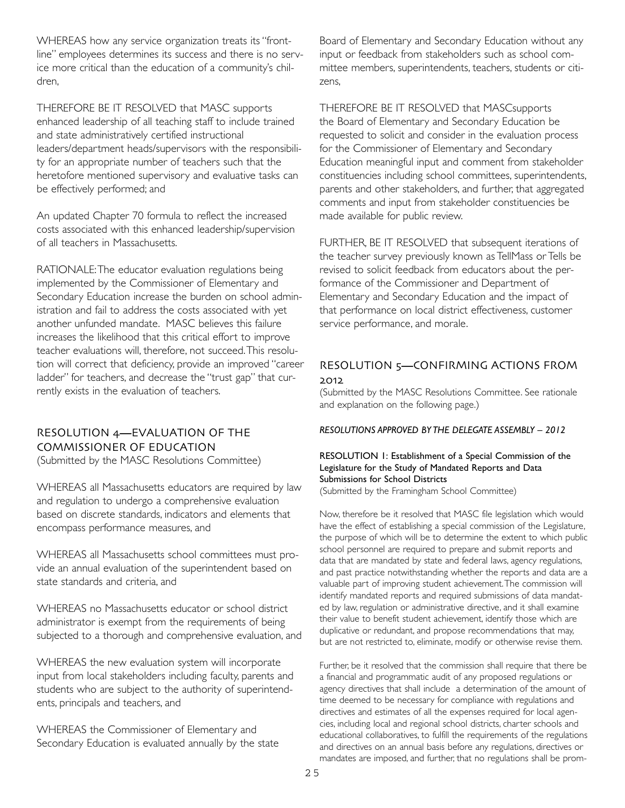WHEREAS how any service organization treats its "frontline" employees determines its success and there is no service more critical than the education of a community's children,

THEREFORE BE IT RESOLVED that MASC supports enhanced leadership of all teaching staff to include trained and state administratively certified instructional leaders/department heads/supervisors with the responsibility for an appropriate number of teachers such that the heretofore mentioned supervisory and evaluative tasks can be effectively performed; and

An updated Chapter 70 formula to reflect the increased costs associated with this enhanced leadership/supervision of all teachers in Massachusetts.

RATIONALE:The educator evaluation regulations being implemented by the Commissioner of Elementary and Secondary Education increase the burden on school administration and fail to address the costs associated with yet another unfunded mandate. MASC believes this failure increases the likelihood that this critical effort to improve teacher evaluations will, therefore, not succeed.This resolution will correct that deficiency, provide an improved "career ladder" for teachers, and decrease the "trust gap" that currently exists in the evaluation of teachers.

# RESOLUTION 4**—**EVALUATION OF THE COMMISSIONER OF EDUCATION

(Submitted by the MASC Resolutions Committee)

WHEREAS all Massachusetts educators are required by law and regulation to undergo a comprehensive evaluation based on discrete standards, indicators and elements that encompass performance measures, and

WHEREAS all Massachusetts school committees must provide an annual evaluation of the superintendent based on state standards and criteria, and

WHEREAS no Massachusetts educator or school district administrator is exempt from the requirements of being subjected to a thorough and comprehensive evaluation, and

WHEREAS the new evaluation system will incorporate input from local stakeholders including faculty, parents and students who are subject to the authority of superintendents, principals and teachers, and

WHEREAS the Commissioner of Elementary and Secondary Education is evaluated annually by the state Board of Elementary and Secondary Education without any input or feedback from stakeholders such as school committee members, superintendents, teachers, students or citizens,

THEREFORE BE IT RESOLVED that MASCsupports the Board of Elementary and Secondary Education be requested to solicit and consider in the evaluation process for the Commissioner of Elementary and Secondary Education meaningful input and comment from stakeholder constituencies including school committees, superintendents, parents and other stakeholders, and further, that aggregated comments and input from stakeholder constituencies be made available for public review.

FURTHER, BE IT RESOLVED that subsequent iterations of the teacher survey previously known as TellMass or Tells be revised to solicit feedback from educators about the performance of the Commissioner and Department of Elementary and Secondary Education and the impact of that performance on local district effectiveness, customer service performance, and morale.

### RESOLUTION 5**—**CONFIRMING ACTIONS FROM 2012

(Submitted by the MASC Resolutions Committee. See rationale and explanation on the following page.)

*RESOLUTIONS APPROVED BY THE DELEGATE ASSEMBLY – 2012*

#### RESOLUTION 1: Establishment of a Special Commission of the Legislature for the Study of Mandated Reports and Data Submissions for School Districts

(Submitted by the Framingham School Committee)

Now, therefore be it resolved that MASC file legislation which would have the effect of establishing a special commission of the Legislature, the purpose of which will be to determine the extent to which public school personnel are required to prepare and submit reports and data that are mandated by state and federal laws, agency regulations, and past practice notwithstanding whether the reports and data are a valuable part of improving student achievement.The commission will identify mandated reports and required submissions of data mandated by law, regulation or administrative directive, and it shall examine their value to benefit student achievement, identify those which are duplicative or redundant, and propose recommendations that may, but are not restricted to, eliminate, modify or otherwise revise them.

Further, be it resolved that the commission shall require that there be a financial and programmatic audit of any proposed regulations or agency directives that shall include a determination of the amount of time deemed to be necessary for compliance with regulations and directives and estimates of all the expenses required for local agencies, including local and regional school districts, charter schools and educational collaboratives, to fulfill the requirements of the regulations and directives on an annual basis before any regulations, directives or mandates are imposed, and further, that no regulations shall be prom